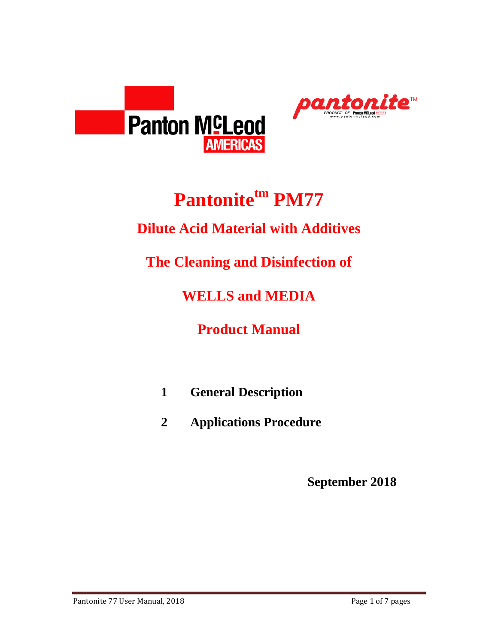



# **Pantonitetm PM77**

### **Dilute Acid Material with Additives**

**The Cleaning and Disinfection of**

**WELLS and MEDIA**

**Product Manual**

- **1 General Description**
- **2 Applications Procedure**

**September 2018**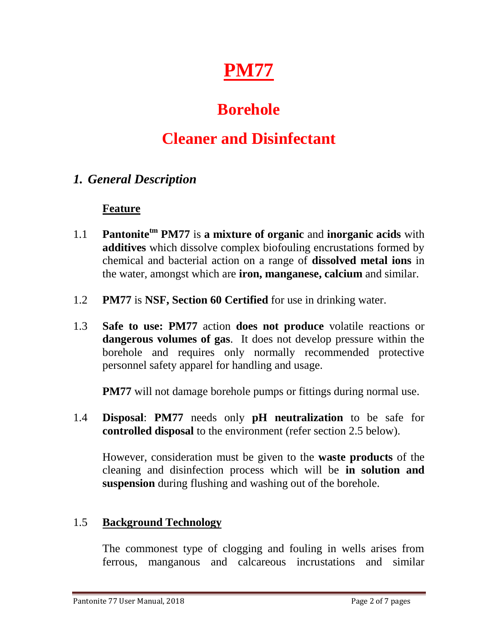

# **Borehole**

## **Cleaner and Disinfectant**

### *1. General Description*

#### **Feature**

- 1.1 **Pantonitetm PM77** is **a mixture of organic** and **inorganic acids** with **additives** which dissolve complex biofouling encrustations formed by chemical and bacterial action on a range of **dissolved metal ions** in the water, amongst which are **iron, manganese, calcium** and similar.
- 1.2 **PM77** is **NSF, Section 60 Certified** for use in drinking water.
- 1.3 **Safe to use: PM77** action **does not produce** volatile reactions or **dangerous volumes of gas**. It does not develop pressure within the borehole and requires only normally recommended protective personnel safety apparel for handling and usage.

**PM77** will not damage borehole pumps or fittings during normal use.

1.4 **Disposal**: **PM77** needs only **pH neutralization** to be safe for **controlled disposal** to the environment (refer section 2.5 below).

However, consideration must be given to the **waste products** of the cleaning and disinfection process which will be **in solution and suspension** during flushing and washing out of the borehole.

### 1.5 **Background Technology**

The commonest type of clogging and fouling in wells arises from ferrous, manganous and calcareous incrustations and similar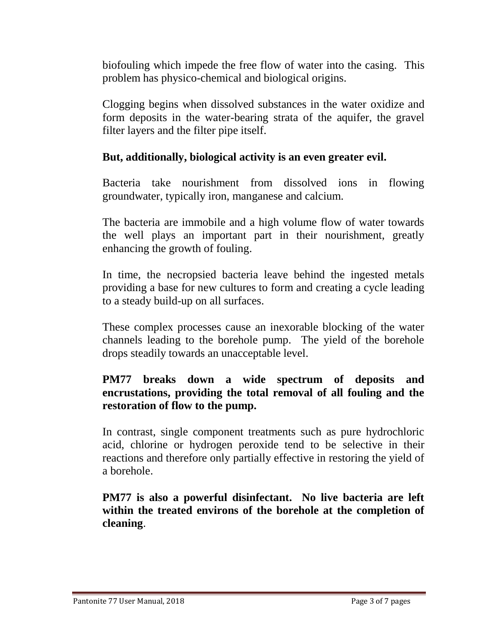biofouling which impede the free flow of water into the casing. This problem has physico-chemical and biological origins.

Clogging begins when dissolved substances in the water oxidize and form deposits in the water-bearing strata of the aquifer, the gravel filter layers and the filter pipe itself.

#### **But, additionally, biological activity is an even greater evil.**

Bacteria take nourishment from dissolved ions in flowing groundwater, typically iron, manganese and calcium.

The bacteria are immobile and a high volume flow of water towards the well plays an important part in their nourishment, greatly enhancing the growth of fouling.

In time, the necropsied bacteria leave behind the ingested metals providing a base for new cultures to form and creating a cycle leading to a steady build-up on all surfaces.

These complex processes cause an inexorable blocking of the water channels leading to the borehole pump. The yield of the borehole drops steadily towards an unacceptable level.

#### **PM77 breaks down a wide spectrum of deposits and encrustations, providing the total removal of all fouling and the restoration of flow to the pump.**

In contrast, single component treatments such as pure hydrochloric acid, chlorine or hydrogen peroxide tend to be selective in their reactions and therefore only partially effective in restoring the yield of a borehole.

**PM77 is also a powerful disinfectant. No live bacteria are left within the treated environs of the borehole at the completion of cleaning**.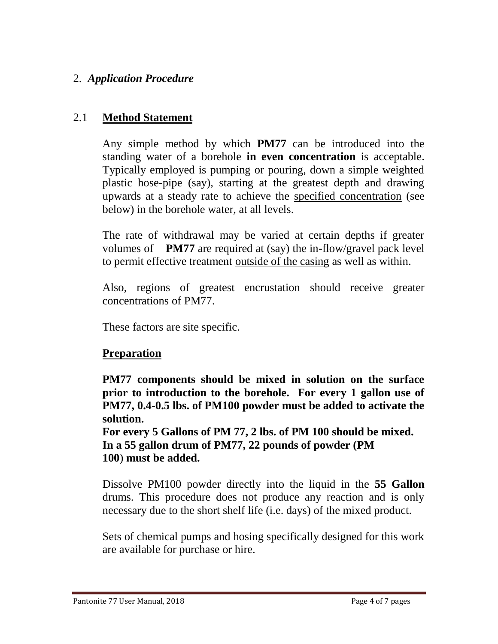#### 2. *Application Procedure*

#### 2.1 **Method Statement**

Any simple method by which **PM77** can be introduced into the standing water of a borehole **in even concentration** is acceptable. Typically employed is pumping or pouring, down a simple weighted plastic hose-pipe (say), starting at the greatest depth and drawing upwards at a steady rate to achieve the specified concentration (see below) in the borehole water, at all levels.

The rate of withdrawal may be varied at certain depths if greater volumes of **PM77** are required at (say) the in-flow/gravel pack level to permit effective treatment outside of the casing as well as within.

Also, regions of greatest encrustation should receive greater concentrations of PM77.

These factors are site specific.

#### **Preparation**

**PM77 components should be mixed in solution on the surface prior to introduction to the borehole. For every 1 gallon use of PM77, 0.4-0.5 lbs. of PM100 powder must be added to activate the solution.** 

**For every 5 Gallons of PM 77, 2 lbs. of PM 100 should be mixed. In a 55 gallon drum of PM77, 22 pounds of powder (PM 100**) **must be added.**

Dissolve PM100 powder directly into the liquid in the **55 Gallon** drums. This procedure does not produce any reaction and is only necessary due to the short shelf life (i.e. days) of the mixed product.

Sets of chemical pumps and hosing specifically designed for this work are available for purchase or hire.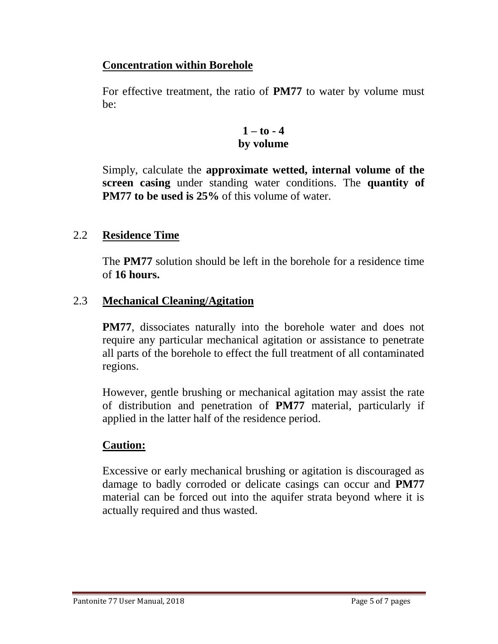#### **Concentration within Borehole**

For effective treatment, the ratio of **PM77** to water by volume must be:

#### $1 - t_0 - 4$ **by volume**

Simply, calculate the **approximate wetted, internal volume of the screen casing** under standing water conditions. The **quantity of PM77** to be used is 25% of this volume of water.

#### 2.2 **Residence Time**

The **PM77** solution should be left in the borehole for a residence time of **16 hours.**

#### 2.3 **Mechanical Cleaning/Agitation**

**PM77**, dissociates naturally into the borehole water and does not require any particular mechanical agitation or assistance to penetrate all parts of the borehole to effect the full treatment of all contaminated regions.

However, gentle brushing or mechanical agitation may assist the rate of distribution and penetration of **PM77** material, particularly if applied in the latter half of the residence period.

#### **Caution:**

Excessive or early mechanical brushing or agitation is discouraged as damage to badly corroded or delicate casings can occur and **PM77** material can be forced out into the aquifer strata beyond where it is actually required and thus wasted.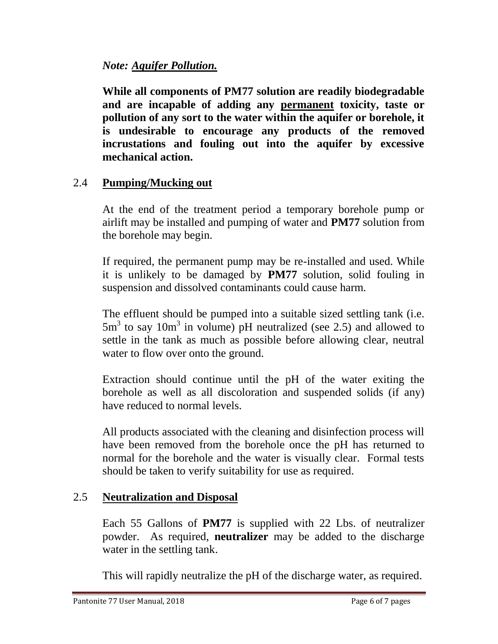#### *Note: Aquifer Pollution.*

**While all components of PM77 solution are readily biodegradable and are incapable of adding any permanent toxicity, taste or pollution of any sort to the water within the aquifer or borehole, it is undesirable to encourage any products of the removed incrustations and fouling out into the aquifer by excessive mechanical action.**

#### 2.4 **Pumping/Mucking out**

At the end of the treatment period a temporary borehole pump or airlift may be installed and pumping of water and **PM77** solution from the borehole may begin.

If required, the permanent pump may be re-installed and used. While it is unlikely to be damaged by **PM77** solution, solid fouling in suspension and dissolved contaminants could cause harm.

The effluent should be pumped into a suitable sized settling tank (i.e.  $5m<sup>3</sup>$  to say 10m<sup>3</sup> in volume) pH neutralized (see 2.5) and allowed to settle in the tank as much as possible before allowing clear, neutral water to flow over onto the ground.

Extraction should continue until the pH of the water exiting the borehole as well as all discoloration and suspended solids (if any) have reduced to normal levels.

All products associated with the cleaning and disinfection process will have been removed from the borehole once the pH has returned to normal for the borehole and the water is visually clear. Formal tests should be taken to verify suitability for use as required.

#### 2.5 **Neutralization and Disposal**

Each 55 Gallons of **PM77** is supplied with 22 Lbs. of neutralizer powder. As required, **neutralizer** may be added to the discharge water in the settling tank.

This will rapidly neutralize the pH of the discharge water, as required.